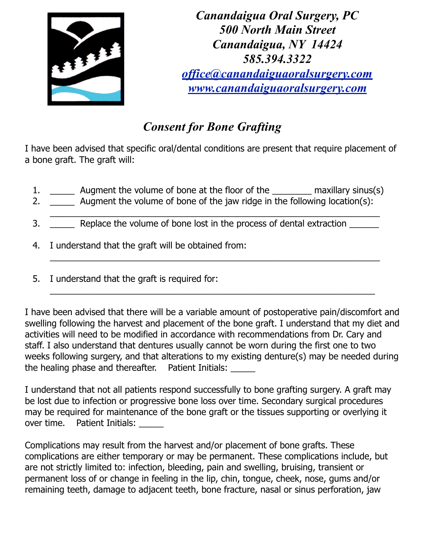

*Canandaigua Oral Surgery, PC 500 North Main Street Canandaigua, NY 14424 585.394.3322 [office@canandaiguaoralsurgery.com](mailto:office@canandaiguaoralsurgery.com) [www.canandaiguaoralsurgery.com](http://www.canandaiguaoralsurgery.com)*

## *Consent for Bone Grafting*

I have been advised that specific oral/dental conditions are present that require placement of a bone graft. The graft will:

1. \_\_\_\_\_\_\_\_ Augment the volume of bone at the floor of the \_\_\_\_\_\_\_\_\_\_ maxillary sinus(s)

 $\overline{\phantom{a}}$  , and the contribution of the contribution of the contribution of the contribution of the contribution of the contribution of the contribution of the contribution of the contribution of the contribution of the

 $\_$  , and the set of the set of the set of the set of the set of the set of the set of the set of the set of the set of the set of the set of the set of the set of the set of the set of the set of the set of the set of th

 $\_$  , and the set of the set of the set of the set of the set of the set of the set of the set of the set of the set of the set of the set of the set of the set of the set of the set of the set of the set of the set of th

- 2. \_\_\_\_\_\_\_ Augment the volume of bone of the jaw ridge in the following location(s):
- 3. \_\_\_\_\_\_ Replace the volume of bone lost in the process of dental extraction \_\_\_\_\_\_
- 4. I understand that the graft will be obtained from:
- 5. I understand that the graft is required for:

I have been advised that there will be a variable amount of postoperative pain/discomfort and swelling following the harvest and placement of the bone graft. I understand that my diet and activities will need to be modified in accordance with recommendations from Dr. Cary and staff. I also understand that dentures usually cannot be worn during the first one to two weeks following surgery, and that alterations to my existing denture(s) may be needed during the healing phase and thereafter. Patient Initials: \_\_\_\_\_

I understand that not all patients respond successfully to bone grafting surgery. A graft may be lost due to infection or progressive bone loss over time. Secondary surgical procedures may be required for maintenance of the bone graft or the tissues supporting or overlying it over time. Patient Initials:

Complications may result from the harvest and/or placement of bone grafts. These complications are either temporary or may be permanent. These complications include, but are not strictly limited to: infection, bleeding, pain and swelling, bruising, transient or permanent loss of or change in feeling in the lip, chin, tongue, cheek, nose, gums and/or remaining teeth, damage to adjacent teeth, bone fracture, nasal or sinus perforation, jaw